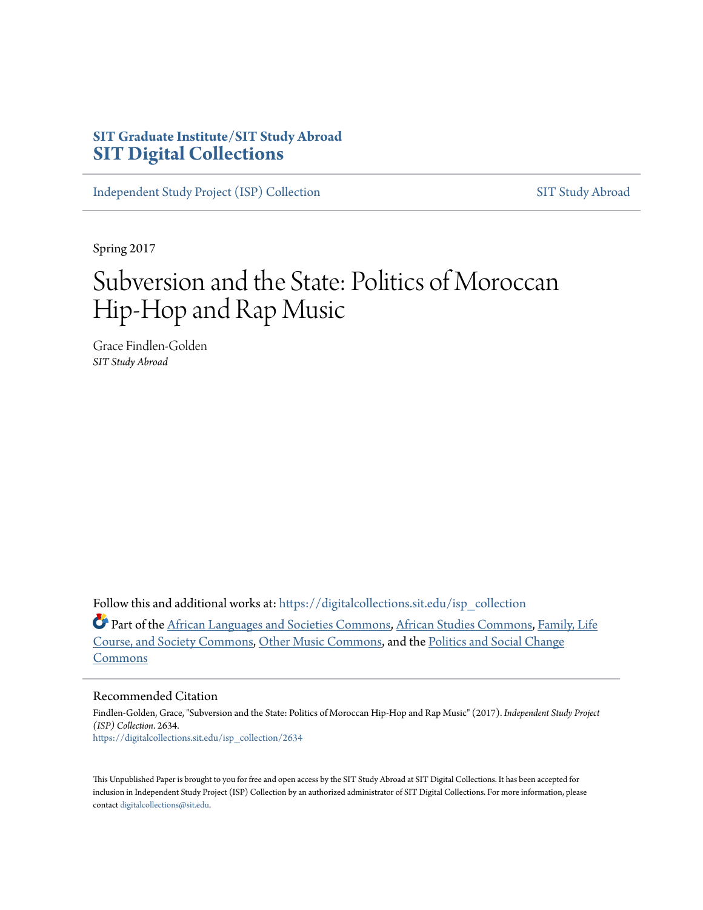## **SIT Graduate Institute/SIT Study Abroad [SIT Digital Collections](https://digitalcollections.sit.edu?utm_source=digitalcollections.sit.edu%2Fisp_collection%2F2634&utm_medium=PDF&utm_campaign=PDFCoverPages)**

[Independent Study Project \(ISP\) Collection](https://digitalcollections.sit.edu/isp_collection?utm_source=digitalcollections.sit.edu%2Fisp_collection%2F2634&utm_medium=PDF&utm_campaign=PDFCoverPages) [SIT Study Abroad](https://digitalcollections.sit.edu/study_abroad?utm_source=digitalcollections.sit.edu%2Fisp_collection%2F2634&utm_medium=PDF&utm_campaign=PDFCoverPages)

Spring 2017

# Subversion and the State: Politics of Moroccan Hip-Hop and Rap Music

Grace Findlen-Golden *SIT Study Abroad*

Follow this and additional works at: [https://digitalcollections.sit.edu/isp\\_collection](https://digitalcollections.sit.edu/isp_collection?utm_source=digitalcollections.sit.edu%2Fisp_collection%2F2634&utm_medium=PDF&utm_campaign=PDFCoverPages)

Part of the [African Languages and Societies Commons](http://network.bepress.com/hgg/discipline/476?utm_source=digitalcollections.sit.edu%2Fisp_collection%2F2634&utm_medium=PDF&utm_campaign=PDFCoverPages), [African Studies Commons,](http://network.bepress.com/hgg/discipline/1043?utm_source=digitalcollections.sit.edu%2Fisp_collection%2F2634&utm_medium=PDF&utm_campaign=PDFCoverPages) [Family, Life](http://network.bepress.com/hgg/discipline/419?utm_source=digitalcollections.sit.edu%2Fisp_collection%2F2634&utm_medium=PDF&utm_campaign=PDFCoverPages) [Course, and Society Commons,](http://network.bepress.com/hgg/discipline/419?utm_source=digitalcollections.sit.edu%2Fisp_collection%2F2634&utm_medium=PDF&utm_campaign=PDFCoverPages) [Other Music Commons,](http://network.bepress.com/hgg/discipline/524?utm_source=digitalcollections.sit.edu%2Fisp_collection%2F2634&utm_medium=PDF&utm_campaign=PDFCoverPages) and the [Politics and Social Change](http://network.bepress.com/hgg/discipline/425?utm_source=digitalcollections.sit.edu%2Fisp_collection%2F2634&utm_medium=PDF&utm_campaign=PDFCoverPages) [Commons](http://network.bepress.com/hgg/discipline/425?utm_source=digitalcollections.sit.edu%2Fisp_collection%2F2634&utm_medium=PDF&utm_campaign=PDFCoverPages)

#### Recommended Citation

Findlen-Golden, Grace, "Subversion and the State: Politics of Moroccan Hip-Hop and Rap Music" (2017). *Independent Study Project (ISP) Collection*. 2634. [https://digitalcollections.sit.edu/isp\\_collection/2634](https://digitalcollections.sit.edu/isp_collection/2634?utm_source=digitalcollections.sit.edu%2Fisp_collection%2F2634&utm_medium=PDF&utm_campaign=PDFCoverPages)

This Unpublished Paper is brought to you for free and open access by the SIT Study Abroad at SIT Digital Collections. It has been accepted for inclusion in Independent Study Project (ISP) Collection by an authorized administrator of SIT Digital Collections. For more information, please contact [digitalcollections@sit.edu](mailto:digitalcollections@sit.edu).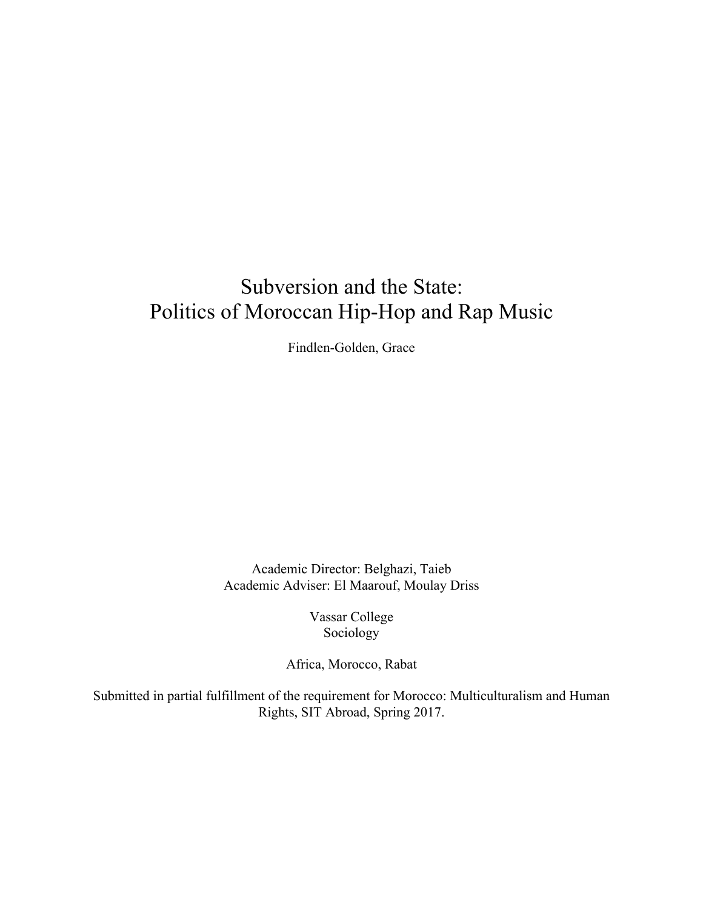# Subversion and the State: Politics of Moroccan Hip-Hop and Rap Music

Findlen-Golden, Grace

Academic Director: Belghazi, Taieb Academic Adviser: El Maarouf, Moulay Driss

> Vassar College Sociology

Africa, Morocco, Rabat

Submitted in partial fulfillment of the requirement for Morocco: Multiculturalism and Human Rights, SIT Abroad, Spring 2017.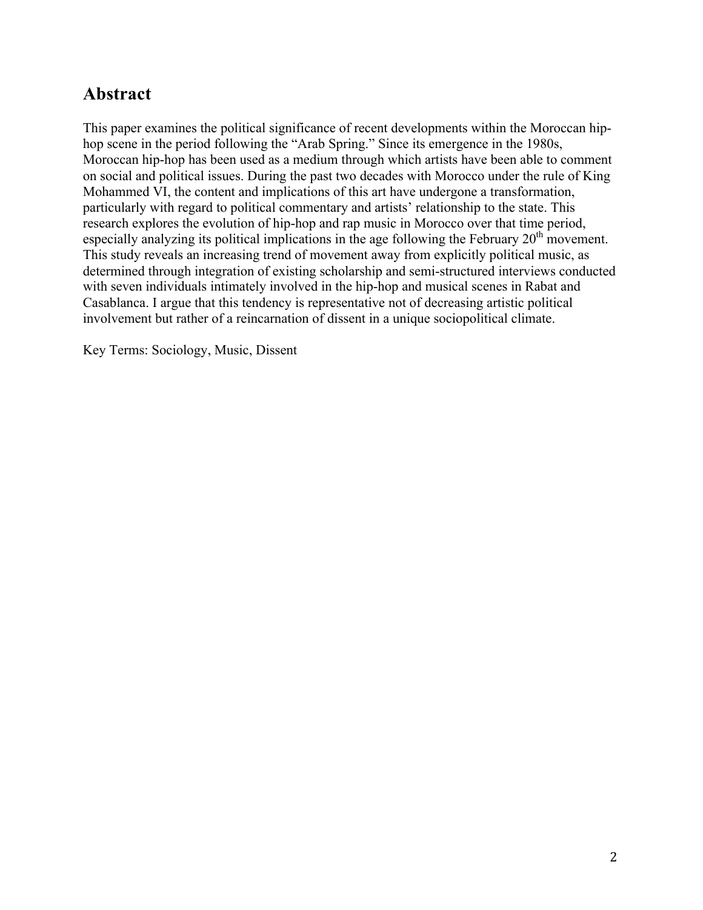## **Abstract**

This paper examines the political significance of recent developments within the Moroccan hiphop scene in the period following the "Arab Spring." Since its emergence in the 1980s, Moroccan hip-hop has been used as a medium through which artists have been able to comment on social and political issues. During the past two decades with Morocco under the rule of King Mohammed VI, the content and implications of this art have undergone a transformation, particularly with regard to political commentary and artists' relationship to the state. This research explores the evolution of hip-hop and rap music in Morocco over that time period, especially analyzing its political implications in the age following the February  $20<sup>th</sup>$  movement. This study reveals an increasing trend of movement away from explicitly political music, as determined through integration of existing scholarship and semi-structured interviews conducted with seven individuals intimately involved in the hip-hop and musical scenes in Rabat and Casablanca. I argue that this tendency is representative not of decreasing artistic political involvement but rather of a reincarnation of dissent in a unique sociopolitical climate.

Key Terms: Sociology, Music, Dissent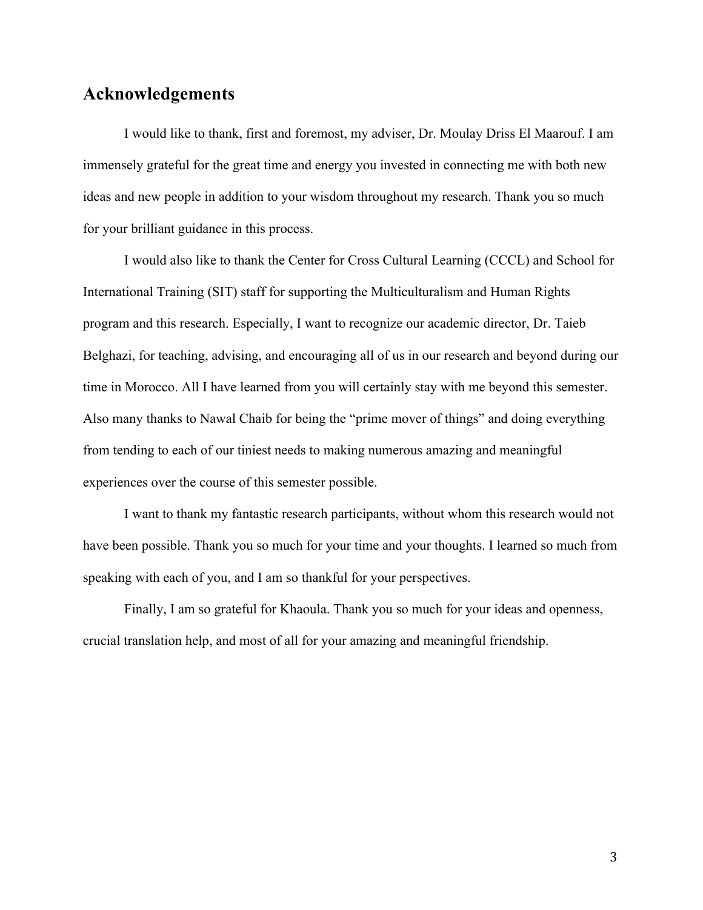## **Acknowledgements**

I would like to thank, first and foremost, my adviser, Dr. Moulay Driss El Maarouf. I am immensely grateful for the great time and energy you invested in connecting me with both new ideas and new people in addition to your wisdom throughout my research. Thank you so much for your brilliant guidance in this process.

I would also like to thank the Center for Cross Cultural Learning (CCCL) and School for International Training (SIT) staff for supporting the Multiculturalism and Human Rights program and this research. Especially, I want to recognize our academic director, Dr. Taieb Belghazi, for teaching, advising, and encouraging all of us in our research and beyond during our time in Morocco. All I have learned from you will certainly stay with me beyond this semester. Also many thanks to Nawal Chaib for being the "prime mover of things" and doing everything from tending to each of our tiniest needs to making numerous amazing and meaningful experiences over the course of this semester possible.

I want to thank my fantastic research participants, without whom this research would not have been possible. Thank you so much for your time and your thoughts. I learned so much from speaking with each of you, and I am so thankful for your perspectives.

Finally, I am so grateful for Khaoula. Thank you so much for your ideas and openness, crucial translation help, and most of all for your amazing and meaningful friendship.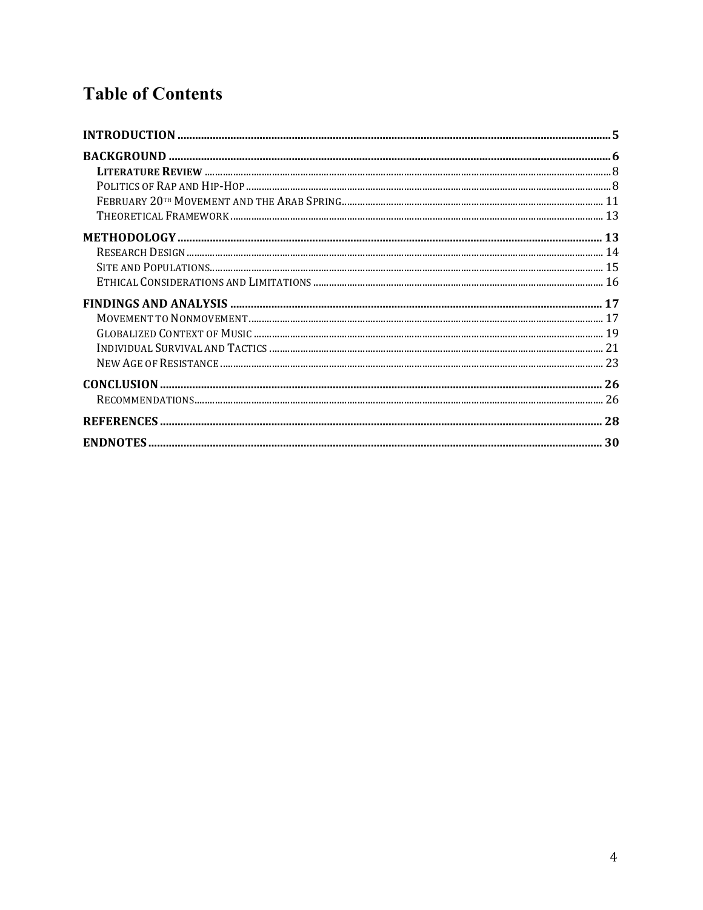# **Table of Contents**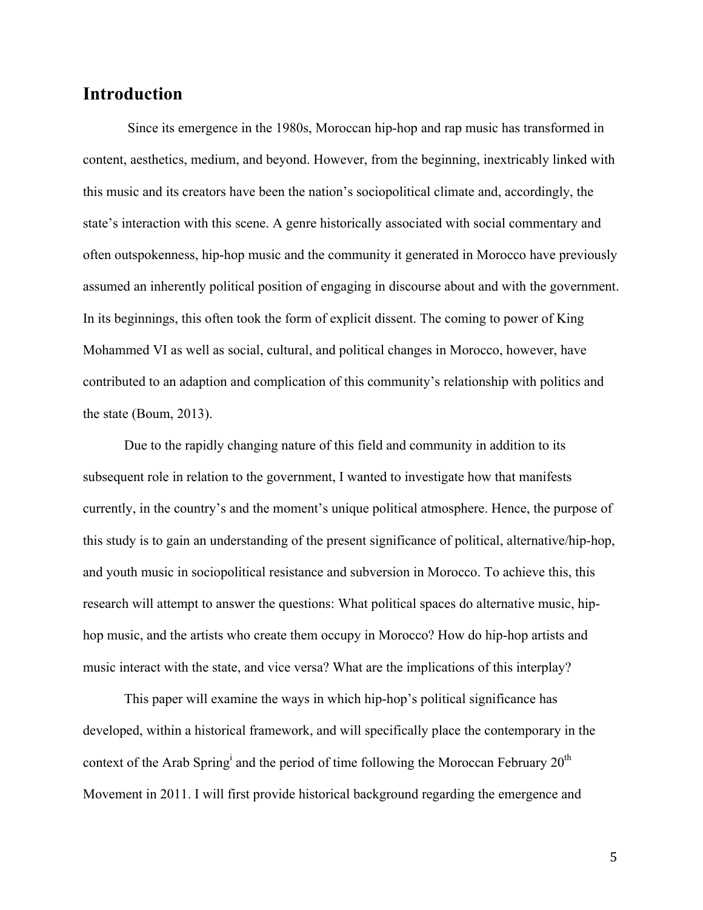## **Introduction**

Since its emergence in the 1980s, Moroccan hip-hop and rap music has transformed in content, aesthetics, medium, and beyond. However, from the beginning, inextricably linked with this music and its creators have been the nation's sociopolitical climate and, accordingly, the state's interaction with this scene. A genre historically associated with social commentary and often outspokenness, hip-hop music and the community it generated in Morocco have previously assumed an inherently political position of engaging in discourse about and with the government. In its beginnings, this often took the form of explicit dissent. The coming to power of King Mohammed VI as well as social, cultural, and political changes in Morocco, however, have contributed to an adaption and complication of this community's relationship with politics and the state (Boum, 2013).

Due to the rapidly changing nature of this field and community in addition to its subsequent role in relation to the government, I wanted to investigate how that manifests currently, in the country's and the moment's unique political atmosphere. Hence, the purpose of this study is to gain an understanding of the present significance of political, alternative/hip-hop, and youth music in sociopolitical resistance and subversion in Morocco. To achieve this, this research will attempt to answer the questions: What political spaces do alternative music, hiphop music, and the artists who create them occupy in Morocco? How do hip-hop artists and music interact with the state, and vice versa? What are the implications of this interplay?

This paper will examine the ways in which hip-hop's political significance has developed, within a historical framework, and will specifically place the contemporary in the context of the Arab Spring<sup>i</sup> and the period of time following the Moroccan February  $20^{th}$ Movement in 2011. I will first provide historical background regarding the emergence and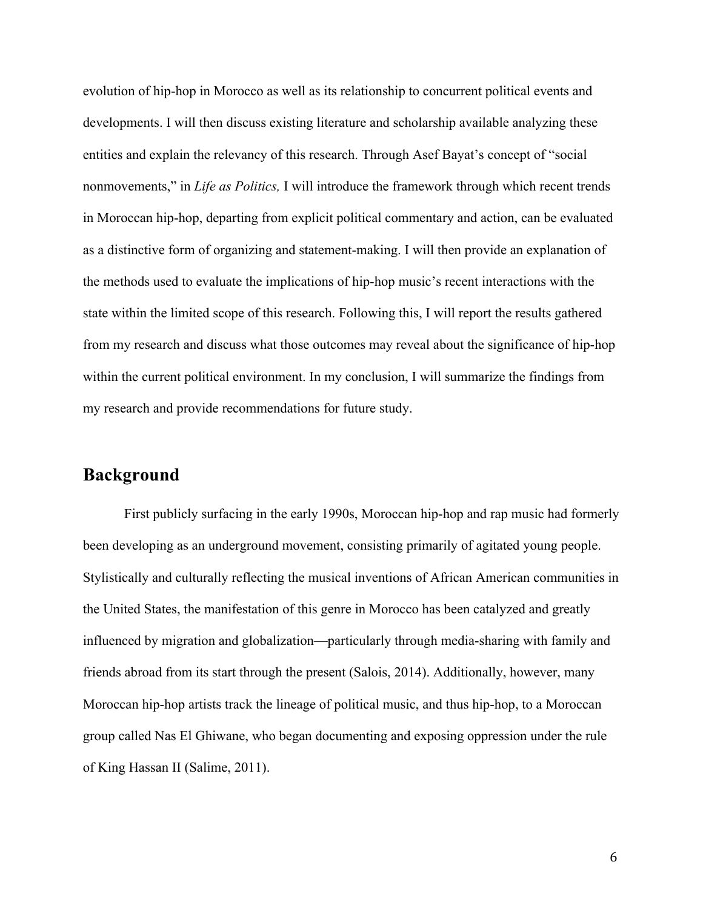evolution of hip-hop in Morocco as well as its relationship to concurrent political events and developments. I will then discuss existing literature and scholarship available analyzing these entities and explain the relevancy of this research. Through Asef Bayat's concept of "social nonmovements," in *Life as Politics,* I will introduce the framework through which recent trends in Moroccan hip-hop, departing from explicit political commentary and action, can be evaluated as a distinctive form of organizing and statement-making. I will then provide an explanation of the methods used to evaluate the implications of hip-hop music's recent interactions with the state within the limited scope of this research. Following this, I will report the results gathered from my research and discuss what those outcomes may reveal about the significance of hip-hop within the current political environment. In my conclusion, I will summarize the findings from my research and provide recommendations for future study.

## **Background**

First publicly surfacing in the early 1990s, Moroccan hip-hop and rap music had formerly been developing as an underground movement, consisting primarily of agitated young people. Stylistically and culturally reflecting the musical inventions of African American communities in the United States, the manifestation of this genre in Morocco has been catalyzed and greatly influenced by migration and globalization—particularly through media-sharing with family and friends abroad from its start through the present (Salois, 2014). Additionally, however, many Moroccan hip-hop artists track the lineage of political music, and thus hip-hop, to a Moroccan group called Nas El Ghiwane, who began documenting and exposing oppression under the rule of King Hassan II (Salime, 2011).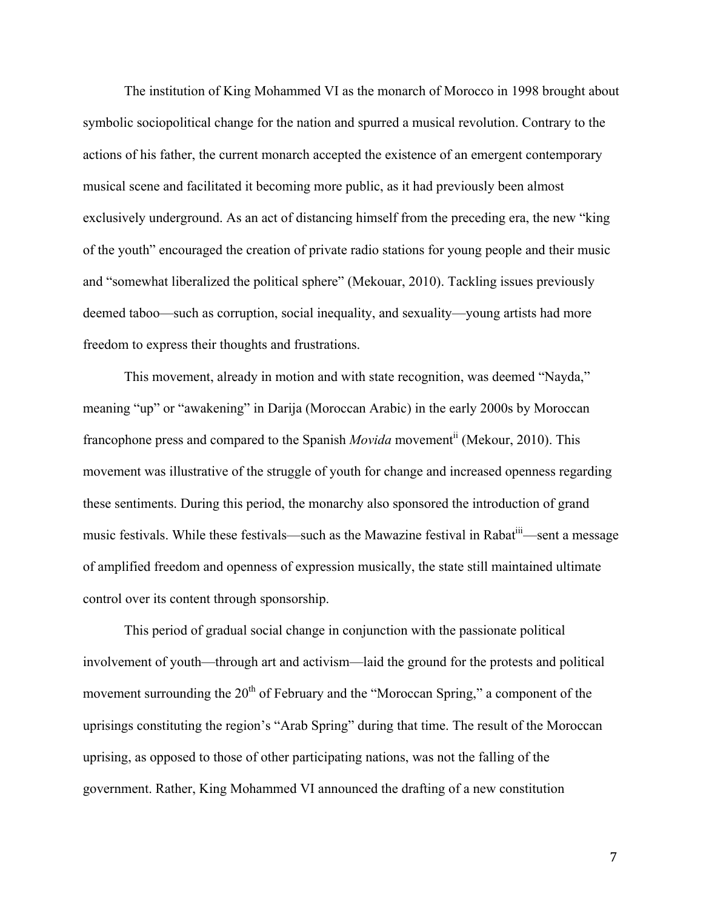The institution of King Mohammed VI as the monarch of Morocco in 1998 brought about symbolic sociopolitical change for the nation and spurred a musical revolution. Contrary to the actions of his father, the current monarch accepted the existence of an emergent contemporary musical scene and facilitated it becoming more public, as it had previously been almost exclusively underground. As an act of distancing himself from the preceding era, the new "king of the youth" encouraged the creation of private radio stations for young people and their music and "somewhat liberalized the political sphere" (Mekouar, 2010). Tackling issues previously deemed taboo—such as corruption, social inequality, and sexuality—young artists had more freedom to express their thoughts and frustrations.

This movement, already in motion and with state recognition, was deemed "Nayda," meaning "up" or "awakening" in Darija (Moroccan Arabic) in the early 2000s by Moroccan francophone press and compared to the Spanish *Movida* movement<sup>ii</sup> (Mekour, 2010). This movement was illustrative of the struggle of youth for change and increased openness regarding these sentiments. During this period, the monarchy also sponsored the introduction of grand music festivals. While these festivals—such as the Mawazine festival in Rabat<sup>iii</sup>—sent a message of amplified freedom and openness of expression musically, the state still maintained ultimate control over its content through sponsorship.

This period of gradual social change in conjunction with the passionate political involvement of youth—through art and activism—laid the ground for the protests and political movement surrounding the  $20<sup>th</sup>$  of February and the "Moroccan Spring," a component of the uprisings constituting the region's "Arab Spring" during that time. The result of the Moroccan uprising, as opposed to those of other participating nations, was not the falling of the government. Rather, King Mohammed VI announced the drafting of a new constitution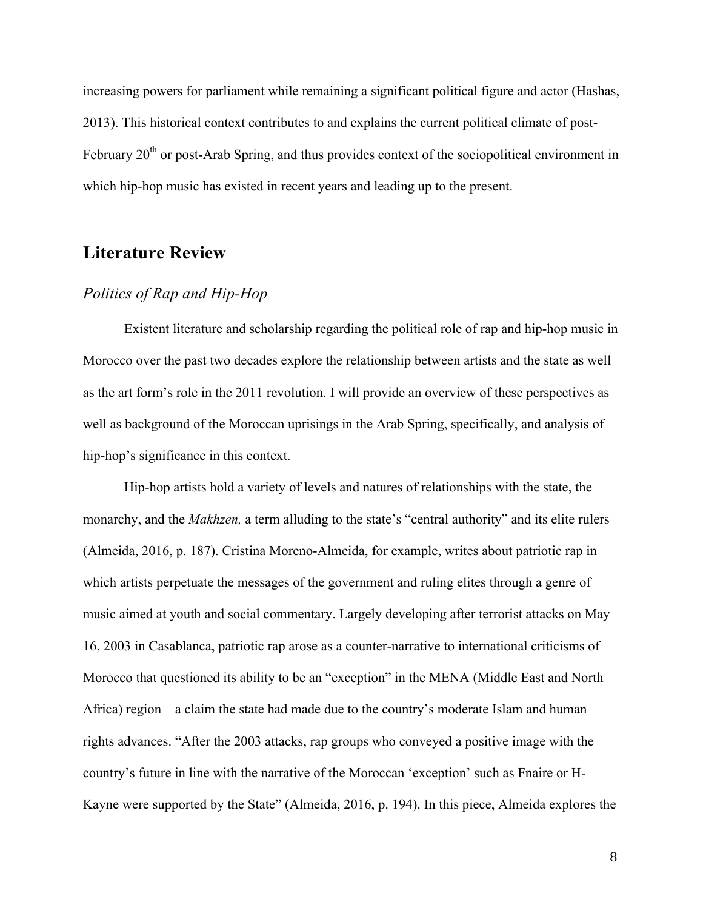increasing powers for parliament while remaining a significant political figure and actor (Hashas, 2013). This historical context contributes to and explains the current political climate of post-February 20<sup>th</sup> or post-Arab Spring, and thus provides context of the sociopolitical environment in which hip-hop music has existed in recent years and leading up to the present.

## **Literature Review**

#### *Politics of Rap and Hip-Hop*

Existent literature and scholarship regarding the political role of rap and hip-hop music in Morocco over the past two decades explore the relationship between artists and the state as well as the art form's role in the 2011 revolution. I will provide an overview of these perspectives as well as background of the Moroccan uprisings in the Arab Spring, specifically, and analysis of hip-hop's significance in this context.

Hip-hop artists hold a variety of levels and natures of relationships with the state, the monarchy, and the *Makhzen,* a term alluding to the state's "central authority" and its elite rulers (Almeida, 2016, p. 187). Cristina Moreno-Almeida, for example, writes about patriotic rap in which artists perpetuate the messages of the government and ruling elites through a genre of music aimed at youth and social commentary. Largely developing after terrorist attacks on May 16, 2003 in Casablanca, patriotic rap arose as a counter-narrative to international criticisms of Morocco that questioned its ability to be an "exception" in the MENA (Middle East and North Africa) region—a claim the state had made due to the country's moderate Islam and human rights advances. "After the 2003 attacks, rap groups who conveyed a positive image with the country's future in line with the narrative of the Moroccan 'exception' such as Fnaire or H-Kayne were supported by the State" (Almeida, 2016, p. 194). In this piece, Almeida explores the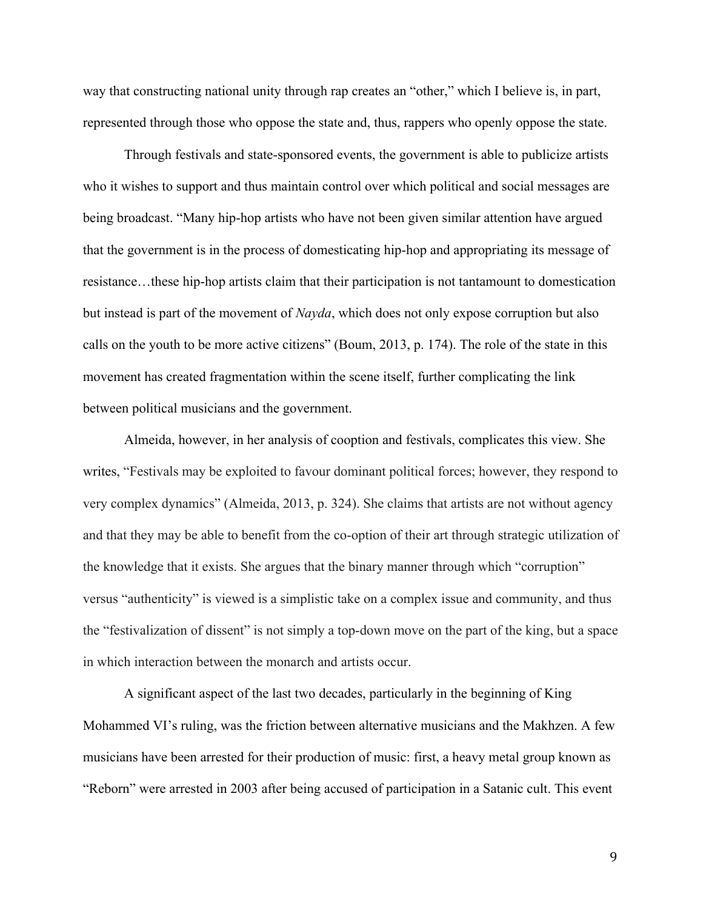way that constructing national unity through rap creates an "other," which I believe is, in part, represented through those who oppose the state and, thus, rappers who openly oppose the state.

Through festivals and state-sponsored events, the government is able to publicize artists who it wishes to support and thus maintain control over which political and social messages are being broadcast. "Many hip-hop artists who have not been given similar attention have argued that the government is in the process of domesticating hip-hop and appropriating its message of resistance…these hip-hop artists claim that their participation is not tantamount to domestication but instead is part of the movement of *Nayda*, which does not only expose corruption but also calls on the youth to be more active citizens" (Boum, 2013, p. 174). The role of the state in this movement has created fragmentation within the scene itself, further complicating the link between political musicians and the government.

Almeida, however, in her analysis of cooption and festivals, complicates this view. She writes, "Festivals may be exploited to favour dominant political forces; however, they respond to very complex dynamics" (Almeida, 2013, p. 324). She claims that artists are not without agency and that they may be able to benefit from the co-option of their art through strategic utilization of the knowledge that it exists. She argues that the binary manner through which "corruption" versus "authenticity" is viewed is a simplistic take on a complex issue and community, and thus the "festivalization of dissent" is not simply a top-down move on the part of the king, but a space in which interaction between the monarch and artists occur.

A significant aspect of the last two decades, particularly in the beginning of King Mohammed VI's ruling, was the friction between alternative musicians and the Makhzen. A few musicians have been arrested for their production of music: first, a heavy metal group known as "Reborn" were arrested in 2003 after being accused of participation in a Satanic cult. This event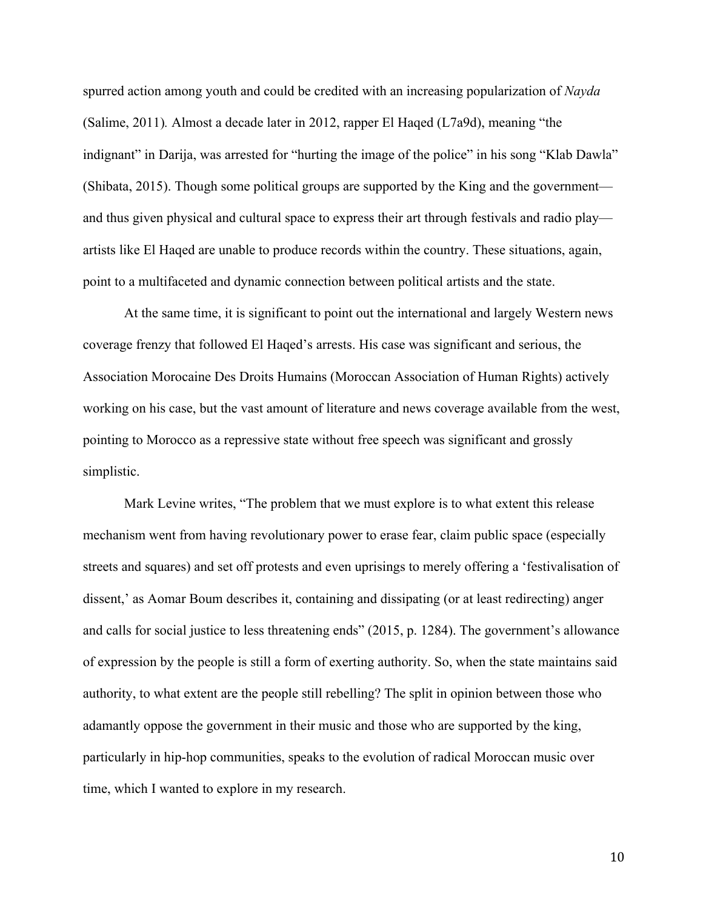spurred action among youth and could be credited with an increasing popularization of *Nayda* (Salime, 2011)*.* Almost a decade later in 2012, rapper El Haqed (L7a9d), meaning "the indignant" in Darija, was arrested for "hurting the image of the police" in his song "Klab Dawla" (Shibata, 2015). Though some political groups are supported by the King and the government and thus given physical and cultural space to express their art through festivals and radio play artists like El Haqed are unable to produce records within the country. These situations, again, point to a multifaceted and dynamic connection between political artists and the state.

At the same time, it is significant to point out the international and largely Western news coverage frenzy that followed El Haqed's arrests. His case was significant and serious, the Association Morocaine Des Droits Humains (Moroccan Association of Human Rights) actively working on his case, but the vast amount of literature and news coverage available from the west, pointing to Morocco as a repressive state without free speech was significant and grossly simplistic.

Mark Levine writes, "The problem that we must explore is to what extent this release mechanism went from having revolutionary power to erase fear, claim public space (especially streets and squares) and set off protests and even uprisings to merely offering a 'festivalisation of dissent,' as Aomar Boum describes it, containing and dissipating (or at least redirecting) anger and calls for social justice to less threatening ends" (2015, p. 1284). The government's allowance of expression by the people is still a form of exerting authority. So, when the state maintains said authority, to what extent are the people still rebelling? The split in opinion between those who adamantly oppose the government in their music and those who are supported by the king, particularly in hip-hop communities, speaks to the evolution of radical Moroccan music over time, which I wanted to explore in my research.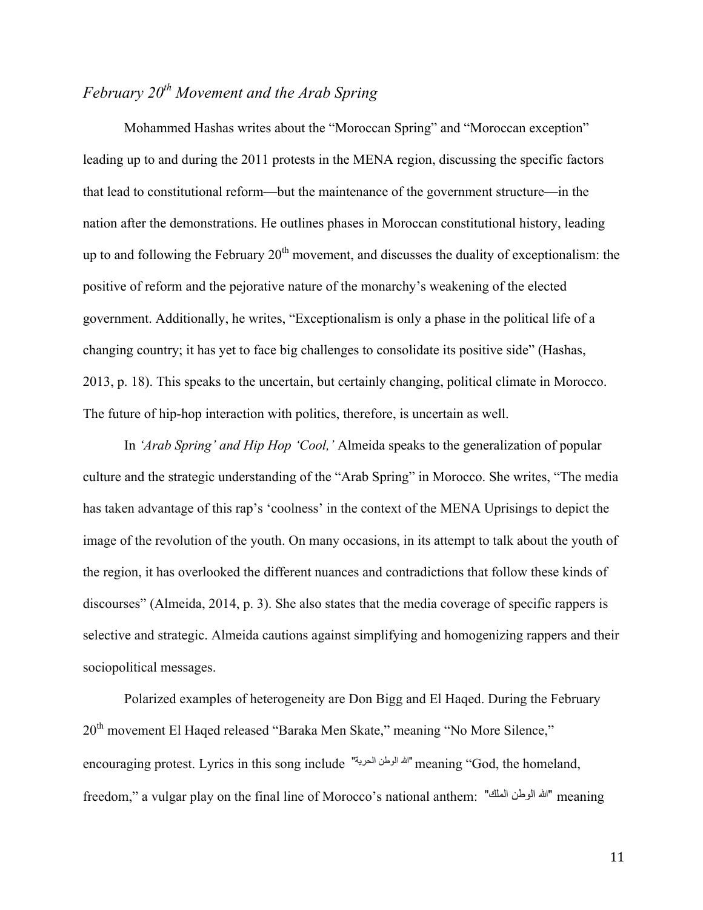## *February 20th Movement and the Arab Spring*

Mohammed Hashas writes about the "Moroccan Spring" and "Moroccan exception" leading up to and during the 2011 protests in the MENA region, discussing the specific factors that lead to constitutional reform—but the maintenance of the government structure—in the nation after the demonstrations. He outlines phases in Moroccan constitutional history, leading up to and following the February  $20<sup>th</sup>$  movement, and discusses the duality of exceptionalism: the positive of reform and the pejorative nature of the monarchy's weakening of the elected government. Additionally, he writes, "Exceptionalism is only a phase in the political life of a changing country; it has yet to face big challenges to consolidate its positive side" (Hashas, 2013, p. 18). This speaks to the uncertain, but certainly changing, political climate in Morocco. The future of hip-hop interaction with politics, therefore, is uncertain as well.

In *'Arab Spring' and Hip Hop 'Cool,'* Almeida speaks to the generalization of popular culture and the strategic understanding of the "Arab Spring" in Morocco. She writes, "The media has taken advantage of this rap's 'coolness' in the context of the MENA Uprisings to depict the image of the revolution of the youth. On many occasions, in its attempt to talk about the youth of the region, it has overlooked the different nuances and contradictions that follow these kinds of discourses" (Almeida, 2014, p. 3). She also states that the media coverage of specific rappers is selective and strategic. Almeida cautions against simplifying and homogenizing rappers and their sociopolitical messages.

Polarized examples of heterogeneity are Don Bigg and El Haqed. During the February 20<sup>th</sup> movement El Haqed released "Baraka Men Skate," meaning "No More Silence," encouraging protest. Lyrics in this song include "أشه الوطن الحربية" meaning "God, the homeland, freedom," a vulgar play on the final line of Morocco's national anthem: "الله الوطن الملك" meaning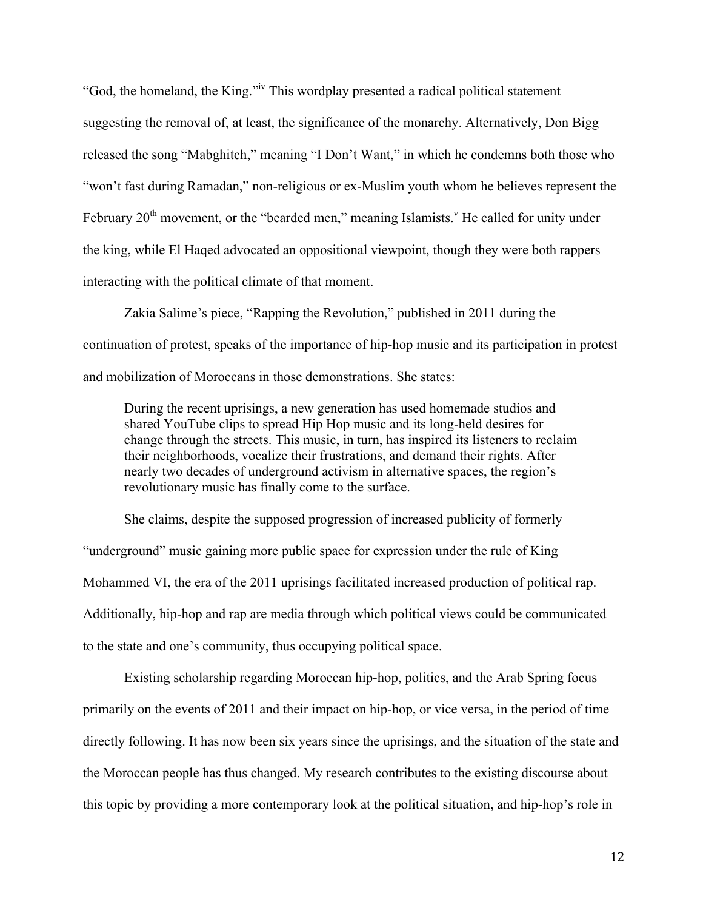"God, the homeland, the King."iv This wordplay presented a radical political statement suggesting the removal of, at least, the significance of the monarchy. Alternatively, Don Bigg released the song "Mabghitch," meaning "I Don't Want," in which he condemns both those who "won't fast during Ramadan," non-religious or ex-Muslim youth whom he believes represent the February  $20<sup>th</sup>$  movement, or the "bearded men," meaning Islamists." He called for unity under the king, while El Haqed advocated an oppositional viewpoint, though they were both rappers interacting with the political climate of that moment.

Zakia Salime's piece, "Rapping the Revolution," published in 2011 during the continuation of protest, speaks of the importance of hip-hop music and its participation in protest and mobilization of Moroccans in those demonstrations. She states:

During the recent uprisings, a new generation has used homemade studios and shared YouTube clips to spread Hip Hop music and its long-held desires for change through the streets. This music, in turn, has inspired its listeners to reclaim their neighborhoods, vocalize their frustrations, and demand their rights. After nearly two decades of underground activism in alternative spaces, the region's revolutionary music has finally come to the surface.

She claims, despite the supposed progression of increased publicity of formerly "underground" music gaining more public space for expression under the rule of King Mohammed VI, the era of the 2011 uprisings facilitated increased production of political rap. Additionally, hip-hop and rap are media through which political views could be communicated to the state and one's community, thus occupying political space.

Existing scholarship regarding Moroccan hip-hop, politics, and the Arab Spring focus primarily on the events of 2011 and their impact on hip-hop, or vice versa, in the period of time directly following. It has now been six years since the uprisings, and the situation of the state and the Moroccan people has thus changed. My research contributes to the existing discourse about this topic by providing a more contemporary look at the political situation, and hip-hop's role in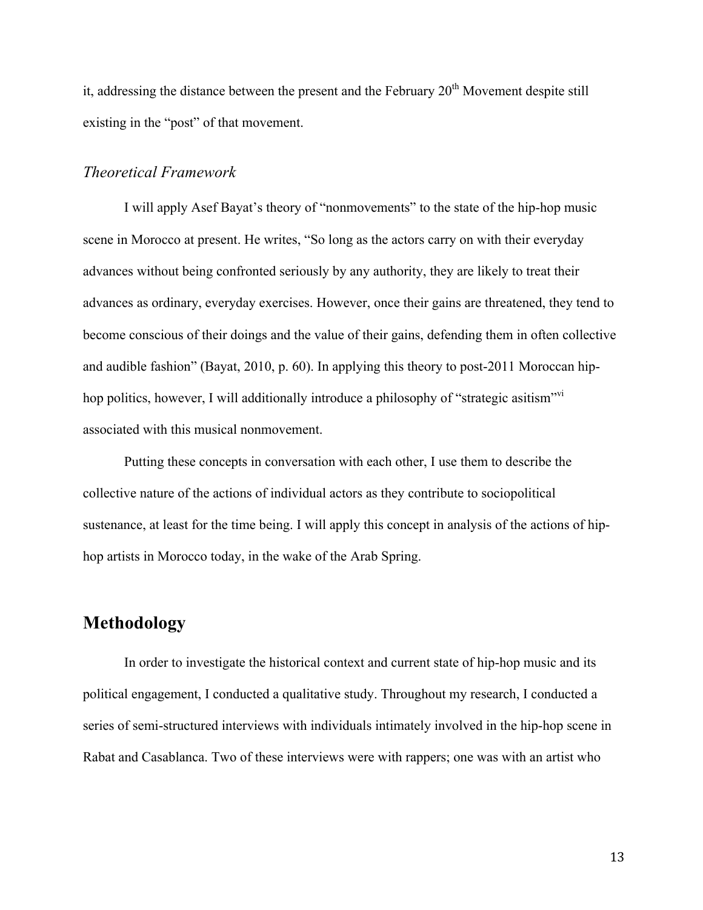it, addressing the distance between the present and the February  $20<sup>th</sup>$  Movement despite still existing in the "post" of that movement.

#### *Theoretical Framework*

I will apply Asef Bayat's theory of "nonmovements" to the state of the hip-hop music scene in Morocco at present. He writes, "So long as the actors carry on with their everyday advances without being confronted seriously by any authority, they are likely to treat their advances as ordinary, everyday exercises. However, once their gains are threatened, they tend to become conscious of their doings and the value of their gains, defending them in often collective and audible fashion" (Bayat, 2010, p. 60). In applying this theory to post-2011 Moroccan hiphop politics, however, I will additionally introduce a philosophy of "strategic asitism"<sup>vi</sup> associated with this musical nonmovement.

Putting these concepts in conversation with each other, I use them to describe the collective nature of the actions of individual actors as they contribute to sociopolitical sustenance, at least for the time being. I will apply this concept in analysis of the actions of hiphop artists in Morocco today, in the wake of the Arab Spring.

## **Methodology**

In order to investigate the historical context and current state of hip-hop music and its political engagement, I conducted a qualitative study. Throughout my research, I conducted a series of semi-structured interviews with individuals intimately involved in the hip-hop scene in Rabat and Casablanca. Two of these interviews were with rappers; one was with an artist who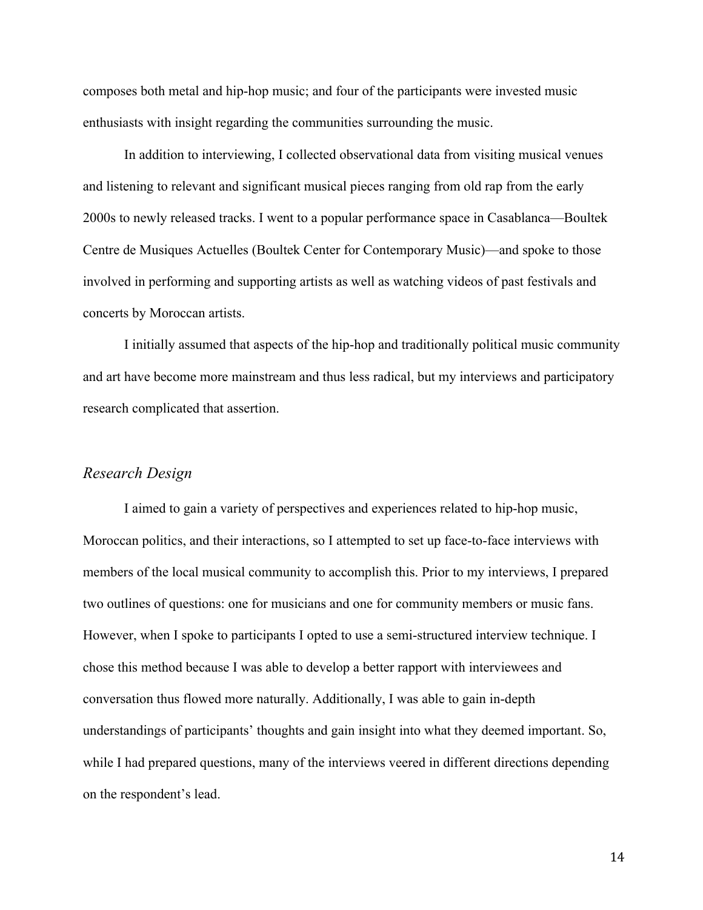composes both metal and hip-hop music; and four of the participants were invested music enthusiasts with insight regarding the communities surrounding the music.

In addition to interviewing, I collected observational data from visiting musical venues and listening to relevant and significant musical pieces ranging from old rap from the early 2000s to newly released tracks. I went to a popular performance space in Casablanca—Boultek Centre de Musiques Actuelles (Boultek Center for Contemporary Music)—and spoke to those involved in performing and supporting artists as well as watching videos of past festivals and concerts by Moroccan artists.

I initially assumed that aspects of the hip-hop and traditionally political music community and art have become more mainstream and thus less radical, but my interviews and participatory research complicated that assertion.

#### *Research Design*

I aimed to gain a variety of perspectives and experiences related to hip-hop music, Moroccan politics, and their interactions, so I attempted to set up face-to-face interviews with members of the local musical community to accomplish this. Prior to my interviews, I prepared two outlines of questions: one for musicians and one for community members or music fans. However, when I spoke to participants I opted to use a semi-structured interview technique. I chose this method because I was able to develop a better rapport with interviewees and conversation thus flowed more naturally. Additionally, I was able to gain in-depth understandings of participants' thoughts and gain insight into what they deemed important. So, while I had prepared questions, many of the interviews veered in different directions depending on the respondent's lead.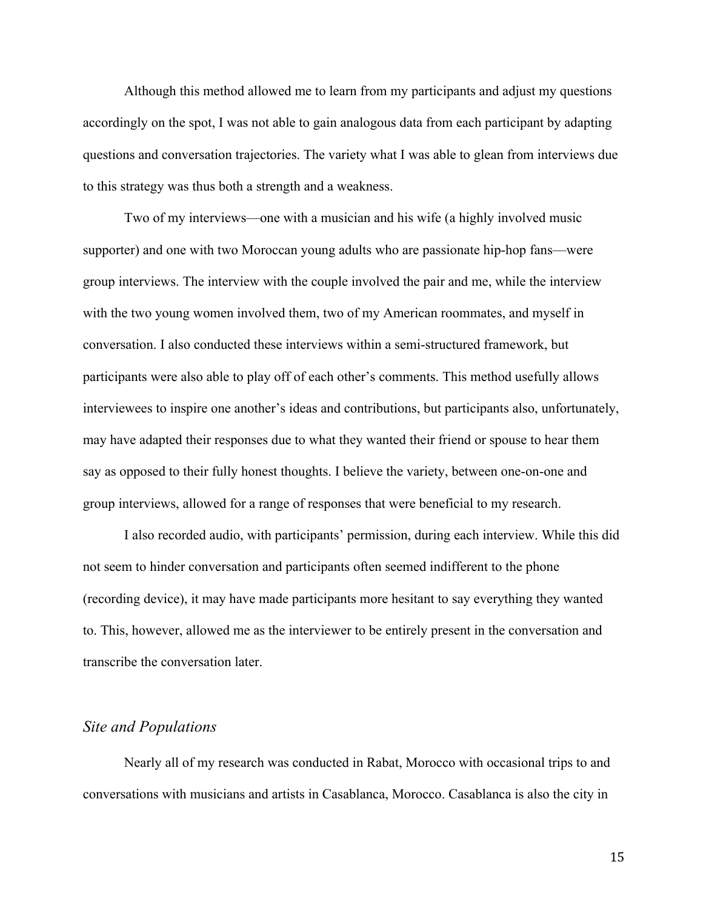Although this method allowed me to learn from my participants and adjust my questions accordingly on the spot, I was not able to gain analogous data from each participant by adapting questions and conversation trajectories. The variety what I was able to glean from interviews due to this strategy was thus both a strength and a weakness.

Two of my interviews—one with a musician and his wife (a highly involved music supporter) and one with two Moroccan young adults who are passionate hip-hop fans—were group interviews. The interview with the couple involved the pair and me, while the interview with the two young women involved them, two of my American roommates, and myself in conversation. I also conducted these interviews within a semi-structured framework, but participants were also able to play off of each other's comments. This method usefully allows interviewees to inspire one another's ideas and contributions, but participants also, unfortunately, may have adapted their responses due to what they wanted their friend or spouse to hear them say as opposed to their fully honest thoughts. I believe the variety, between one-on-one and group interviews, allowed for a range of responses that were beneficial to my research.

I also recorded audio, with participants' permission, during each interview. While this did not seem to hinder conversation and participants often seemed indifferent to the phone (recording device), it may have made participants more hesitant to say everything they wanted to. This, however, allowed me as the interviewer to be entirely present in the conversation and transcribe the conversation later.

#### *Site and Populations*

Nearly all of my research was conducted in Rabat, Morocco with occasional trips to and conversations with musicians and artists in Casablanca, Morocco. Casablanca is also the city in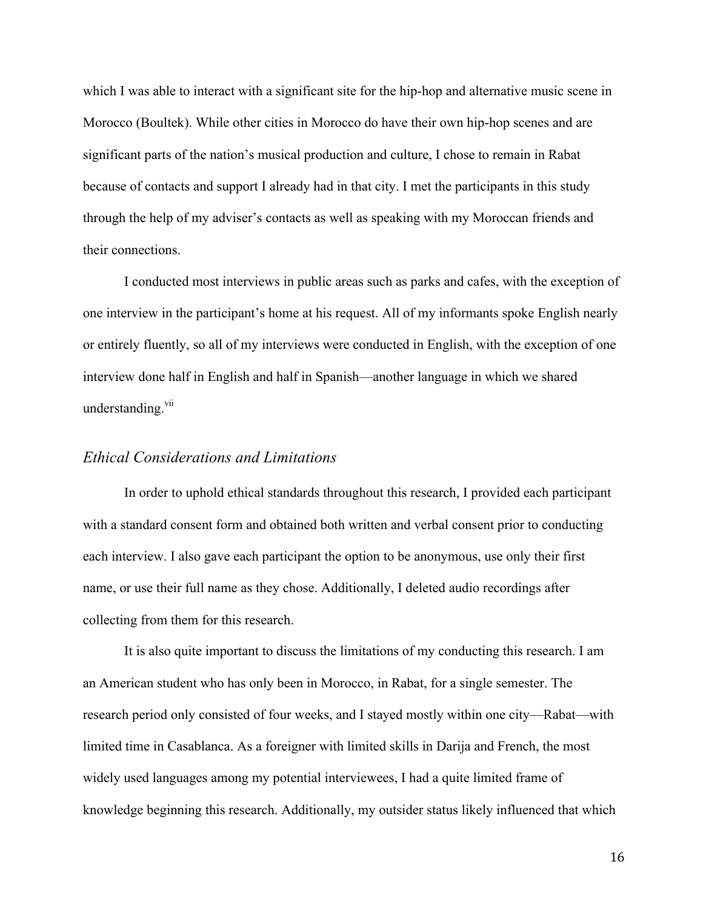which I was able to interact with a significant site for the hip-hop and alternative music scene in Morocco (Boultek). While other cities in Morocco do have their own hip-hop scenes and are significant parts of the nation's musical production and culture, I chose to remain in Rabat because of contacts and support I already had in that city. I met the participants in this study through the help of my adviser's contacts as well as speaking with my Moroccan friends and their connections.

I conducted most interviews in public areas such as parks and cafes, with the exception of one interview in the participant's home at his request. All of my informants spoke English nearly or entirely fluently, so all of my interviews were conducted in English, with the exception of one interview done half in English and half in Spanish—another language in which we shared understanding.<sup>vii</sup>

#### *Ethical Considerations and Limitations*

In order to uphold ethical standards throughout this research, I provided each participant with a standard consent form and obtained both written and verbal consent prior to conducting each interview. I also gave each participant the option to be anonymous, use only their first name, or use their full name as they chose. Additionally, I deleted audio recordings after collecting from them for this research.

It is also quite important to discuss the limitations of my conducting this research. I am an American student who has only been in Morocco, in Rabat, for a single semester. The research period only consisted of four weeks, and I stayed mostly within one city—Rabat—with limited time in Casablanca. As a foreigner with limited skills in Darija and French, the most widely used languages among my potential interviewees, I had a quite limited frame of knowledge beginning this research. Additionally, my outsider status likely influenced that which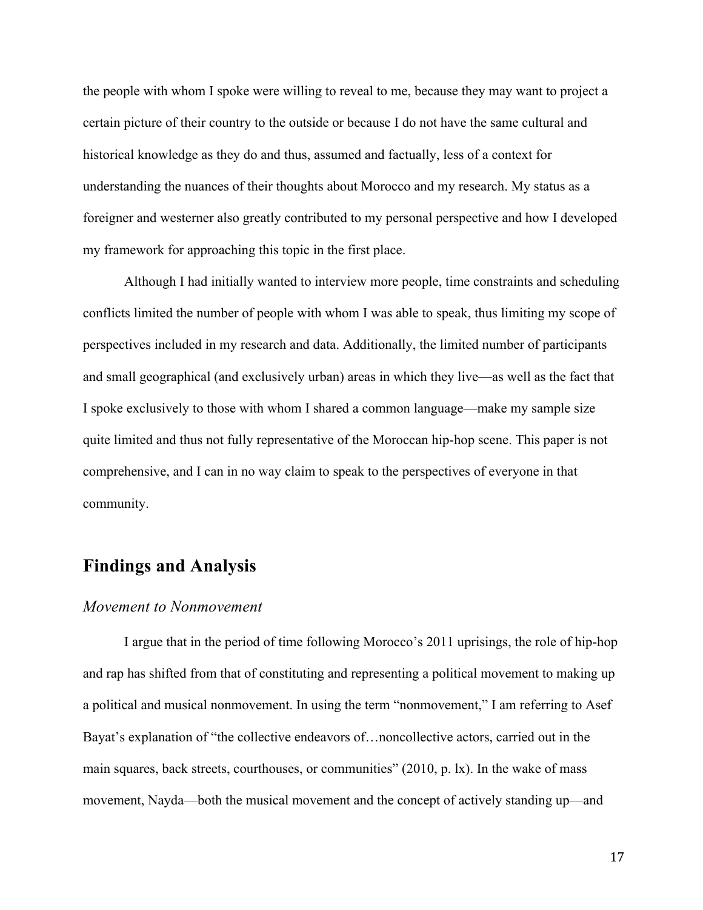the people with whom I spoke were willing to reveal to me, because they may want to project a certain picture of their country to the outside or because I do not have the same cultural and historical knowledge as they do and thus, assumed and factually, less of a context for understanding the nuances of their thoughts about Morocco and my research. My status as a foreigner and westerner also greatly contributed to my personal perspective and how I developed my framework for approaching this topic in the first place.

Although I had initially wanted to interview more people, time constraints and scheduling conflicts limited the number of people with whom I was able to speak, thus limiting my scope of perspectives included in my research and data. Additionally, the limited number of participants and small geographical (and exclusively urban) areas in which they live—as well as the fact that I spoke exclusively to those with whom I shared a common language—make my sample size quite limited and thus not fully representative of the Moroccan hip-hop scene. This paper is not comprehensive, and I can in no way claim to speak to the perspectives of everyone in that community.

## **Findings and Analysis**

#### *Movement to Nonmovement*

I argue that in the period of time following Morocco's 2011 uprisings, the role of hip-hop and rap has shifted from that of constituting and representing a political movement to making up a political and musical nonmovement. In using the term "nonmovement," I am referring to Asef Bayat's explanation of "the collective endeavors of…noncollective actors, carried out in the main squares, back streets, courthouses, or communities" (2010, p. lx). In the wake of mass movement, Nayda—both the musical movement and the concept of actively standing up—and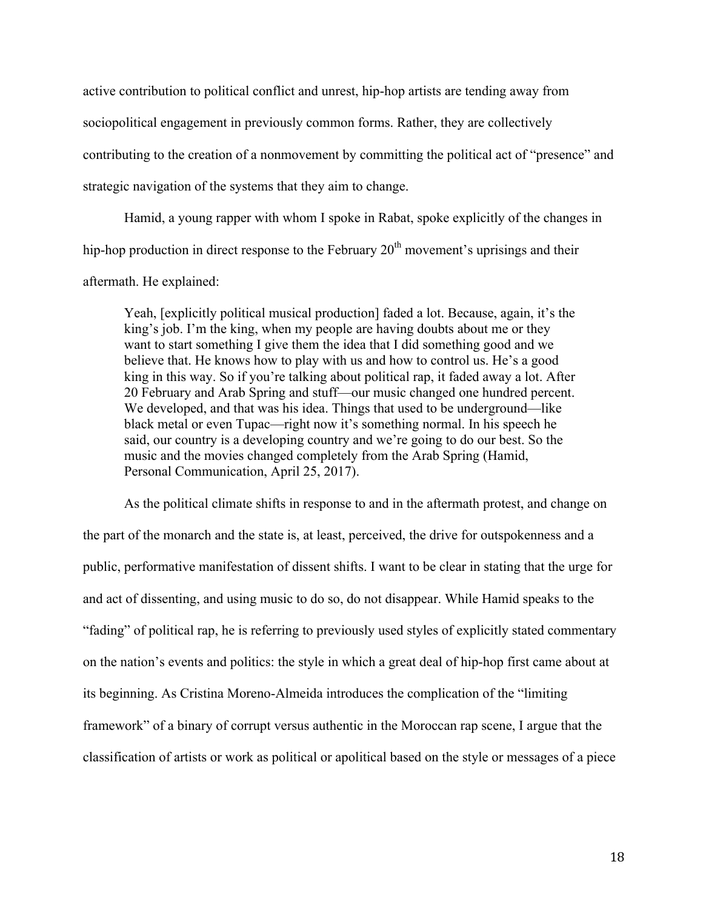active contribution to political conflict and unrest, hip-hop artists are tending away from sociopolitical engagement in previously common forms. Rather, they are collectively contributing to the creation of a nonmovement by committing the political act of "presence" and strategic navigation of the systems that they aim to change.

Hamid, a young rapper with whom I spoke in Rabat, spoke explicitly of the changes in hip-hop production in direct response to the February  $20<sup>th</sup>$  movement's uprisings and their aftermath. He explained:

Yeah, [explicitly political musical production] faded a lot. Because, again, it's the king's job. I'm the king, when my people are having doubts about me or they want to start something I give them the idea that I did something good and we believe that. He knows how to play with us and how to control us. He's a good king in this way. So if you're talking about political rap, it faded away a lot. After 20 February and Arab Spring and stuff—our music changed one hundred percent. We developed, and that was his idea. Things that used to be underground—like black metal or even Tupac—right now it's something normal. In his speech he said, our country is a developing country and we're going to do our best. So the music and the movies changed completely from the Arab Spring (Hamid, Personal Communication, April 25, 2017).

As the political climate shifts in response to and in the aftermath protest, and change on the part of the monarch and the state is, at least, perceived, the drive for outspokenness and a public, performative manifestation of dissent shifts. I want to be clear in stating that the urge for and act of dissenting, and using music to do so, do not disappear. While Hamid speaks to the "fading" of political rap, he is referring to previously used styles of explicitly stated commentary on the nation's events and politics: the style in which a great deal of hip-hop first came about at its beginning. As Cristina Moreno-Almeida introduces the complication of the "limiting framework" of a binary of corrupt versus authentic in the Moroccan rap scene, I argue that the classification of artists or work as political or apolitical based on the style or messages of a piece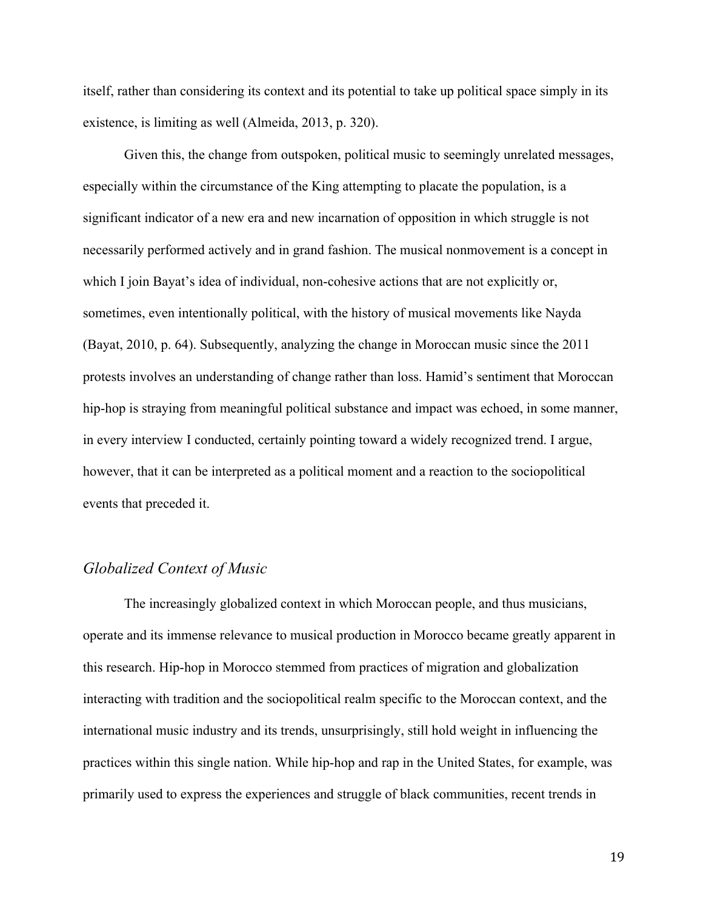itself, rather than considering its context and its potential to take up political space simply in its existence, is limiting as well (Almeida, 2013, p. 320).

Given this, the change from outspoken, political music to seemingly unrelated messages, especially within the circumstance of the King attempting to placate the population, is a significant indicator of a new era and new incarnation of opposition in which struggle is not necessarily performed actively and in grand fashion. The musical nonmovement is a concept in which I join Bayat's idea of individual, non-cohesive actions that are not explicitly or, sometimes, even intentionally political, with the history of musical movements like Nayda (Bayat, 2010, p. 64). Subsequently, analyzing the change in Moroccan music since the 2011 protests involves an understanding of change rather than loss. Hamid's sentiment that Moroccan hip-hop is straying from meaningful political substance and impact was echoed, in some manner, in every interview I conducted, certainly pointing toward a widely recognized trend. I argue, however, that it can be interpreted as a political moment and a reaction to the sociopolitical events that preceded it.

#### *Globalized Context of Music*

The increasingly globalized context in which Moroccan people, and thus musicians, operate and its immense relevance to musical production in Morocco became greatly apparent in this research. Hip-hop in Morocco stemmed from practices of migration and globalization interacting with tradition and the sociopolitical realm specific to the Moroccan context, and the international music industry and its trends, unsurprisingly, still hold weight in influencing the practices within this single nation. While hip-hop and rap in the United States, for example, was primarily used to express the experiences and struggle of black communities, recent trends in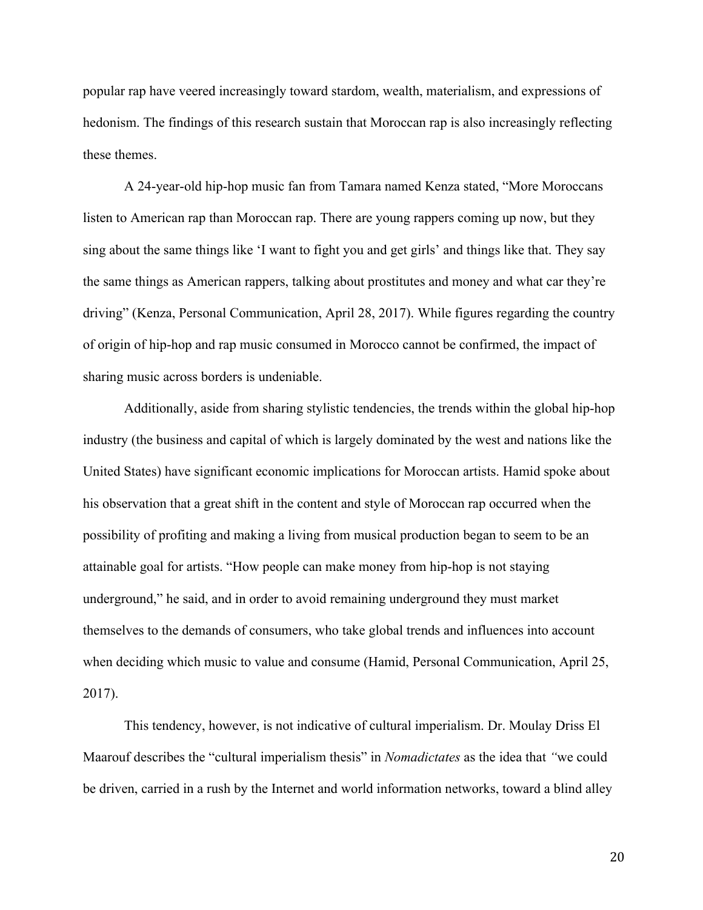popular rap have veered increasingly toward stardom, wealth, materialism, and expressions of hedonism. The findings of this research sustain that Moroccan rap is also increasingly reflecting these themes.

A 24-year-old hip-hop music fan from Tamara named Kenza stated, "More Moroccans listen to American rap than Moroccan rap. There are young rappers coming up now, but they sing about the same things like 'I want to fight you and get girls' and things like that. They say the same things as American rappers, talking about prostitutes and money and what car they're driving" (Kenza, Personal Communication, April 28, 2017). While figures regarding the country of origin of hip-hop and rap music consumed in Morocco cannot be confirmed, the impact of sharing music across borders is undeniable.

Additionally, aside from sharing stylistic tendencies, the trends within the global hip-hop industry (the business and capital of which is largely dominated by the west and nations like the United States) have significant economic implications for Moroccan artists. Hamid spoke about his observation that a great shift in the content and style of Moroccan rap occurred when the possibility of profiting and making a living from musical production began to seem to be an attainable goal for artists. "How people can make money from hip-hop is not staying underground," he said, and in order to avoid remaining underground they must market themselves to the demands of consumers, who take global trends and influences into account when deciding which music to value and consume (Hamid, Personal Communication, April 25, 2017).

This tendency, however, is not indicative of cultural imperialism. Dr. Moulay Driss El Maarouf describes the "cultural imperialism thesis" in *Nomadictates* as the idea that *"*we could be driven, carried in a rush by the Internet and world information networks, toward a blind alley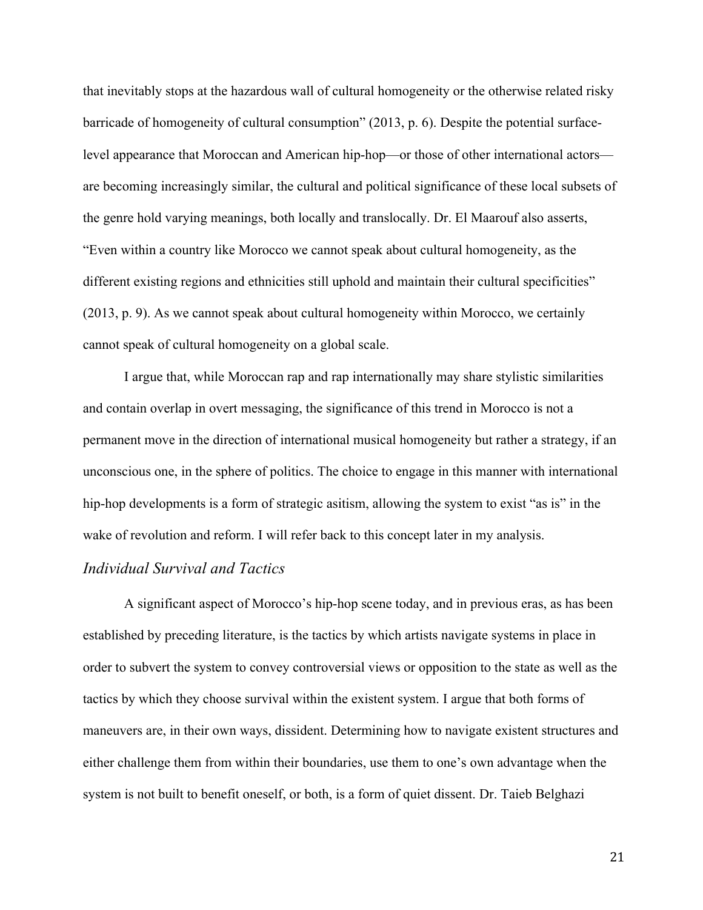that inevitably stops at the hazardous wall of cultural homogeneity or the otherwise related risky barricade of homogeneity of cultural consumption" (2013, p. 6). Despite the potential surfacelevel appearance that Moroccan and American hip-hop—or those of other international actors are becoming increasingly similar, the cultural and political significance of these local subsets of the genre hold varying meanings, both locally and translocally. Dr. El Maarouf also asserts, "Even within a country like Morocco we cannot speak about cultural homogeneity, as the different existing regions and ethnicities still uphold and maintain their cultural specificities" (2013, p. 9). As we cannot speak about cultural homogeneity within Morocco, we certainly cannot speak of cultural homogeneity on a global scale.

I argue that, while Moroccan rap and rap internationally may share stylistic similarities and contain overlap in overt messaging, the significance of this trend in Morocco is not a permanent move in the direction of international musical homogeneity but rather a strategy, if an unconscious one, in the sphere of politics. The choice to engage in this manner with international hip-hop developments is a form of strategic asitism, allowing the system to exist "as is" in the wake of revolution and reform. I will refer back to this concept later in my analysis.

#### *Individual Survival and Tactics*

A significant aspect of Morocco's hip-hop scene today, and in previous eras, as has been established by preceding literature, is the tactics by which artists navigate systems in place in order to subvert the system to convey controversial views or opposition to the state as well as the tactics by which they choose survival within the existent system. I argue that both forms of maneuvers are, in their own ways, dissident. Determining how to navigate existent structures and either challenge them from within their boundaries, use them to one's own advantage when the system is not built to benefit oneself, or both, is a form of quiet dissent. Dr. Taieb Belghazi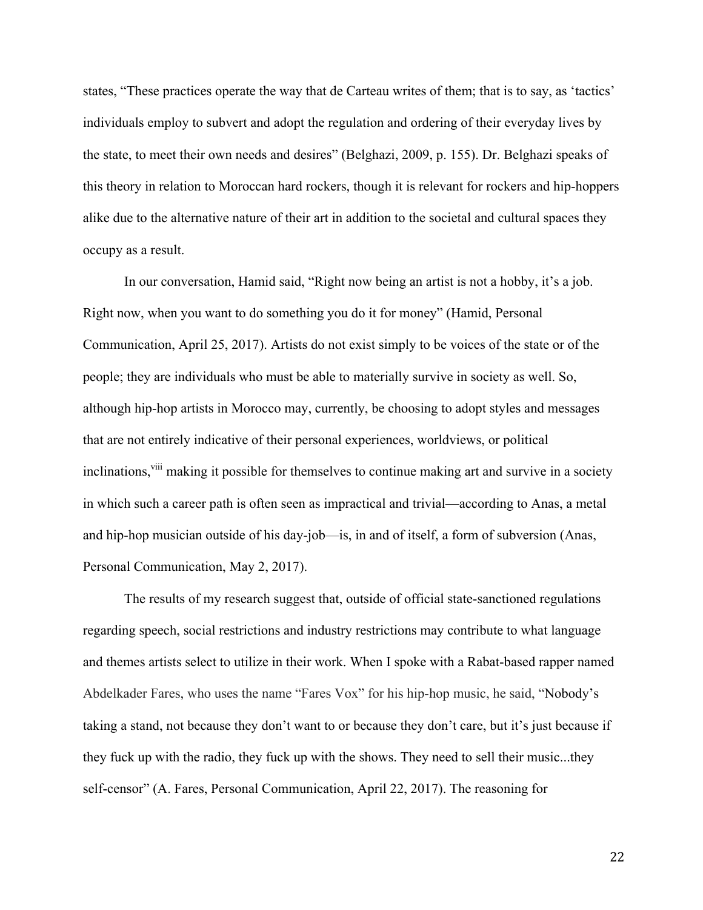states, "These practices operate the way that de Carteau writes of them; that is to say, as 'tactics' individuals employ to subvert and adopt the regulation and ordering of their everyday lives by the state, to meet their own needs and desires" (Belghazi, 2009, p. 155). Dr. Belghazi speaks of this theory in relation to Moroccan hard rockers, though it is relevant for rockers and hip-hoppers alike due to the alternative nature of their art in addition to the societal and cultural spaces they occupy as a result.

In our conversation, Hamid said, "Right now being an artist is not a hobby, it's a job. Right now, when you want to do something you do it for money" (Hamid, Personal Communication, April 25, 2017). Artists do not exist simply to be voices of the state or of the people; they are individuals who must be able to materially survive in society as well. So, although hip-hop artists in Morocco may, currently, be choosing to adopt styles and messages that are not entirely indicative of their personal experiences, worldviews, or political inclinations,<sup>viii</sup> making it possible for themselves to continue making art and survive in a society in which such a career path is often seen as impractical and trivial—according to Anas, a metal and hip-hop musician outside of his day-job—is, in and of itself, a form of subversion (Anas, Personal Communication, May 2, 2017).

The results of my research suggest that, outside of official state-sanctioned regulations regarding speech, social restrictions and industry restrictions may contribute to what language and themes artists select to utilize in their work. When I spoke with a Rabat-based rapper named Abdelkader Fares, who uses the name "Fares Vox" for his hip-hop music, he said, "Nobody's taking a stand, not because they don't want to or because they don't care, but it's just because if they fuck up with the radio, they fuck up with the shows. They need to sell their music...they self-censor" (A. Fares, Personal Communication, April 22, 2017). The reasoning for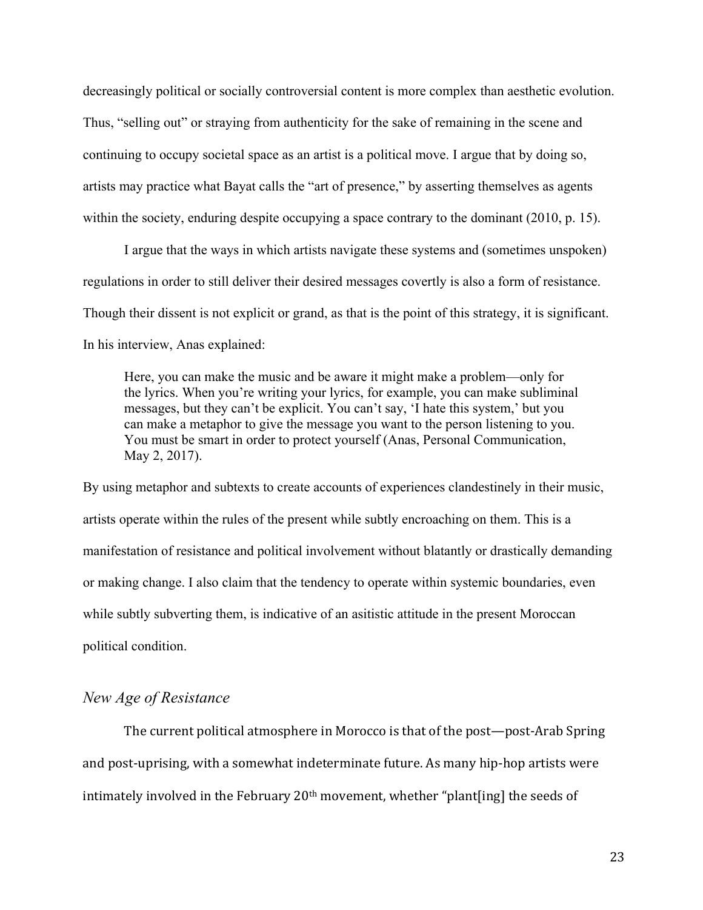decreasingly political or socially controversial content is more complex than aesthetic evolution. Thus, "selling out" or straying from authenticity for the sake of remaining in the scene and continuing to occupy societal space as an artist is a political move. I argue that by doing so, artists may practice what Bayat calls the "art of presence," by asserting themselves as agents within the society, enduring despite occupying a space contrary to the dominant (2010, p. 15).

I argue that the ways in which artists navigate these systems and (sometimes unspoken) regulations in order to still deliver their desired messages covertly is also a form of resistance. Though their dissent is not explicit or grand, as that is the point of this strategy, it is significant. In his interview, Anas explained:

Here, you can make the music and be aware it might make a problem—only for the lyrics. When you're writing your lyrics, for example, you can make subliminal messages, but they can't be explicit. You can't say, 'I hate this system,' but you can make a metaphor to give the message you want to the person listening to you. You must be smart in order to protect yourself (Anas, Personal Communication, May 2, 2017).

By using metaphor and subtexts to create accounts of experiences clandestinely in their music, artists operate within the rules of the present while subtly encroaching on them. This is a manifestation of resistance and political involvement without blatantly or drastically demanding or making change. I also claim that the tendency to operate within systemic boundaries, even while subtly subverting them, is indicative of an asitistic attitude in the present Moroccan political condition.

#### *New Age of Resistance*

The current political atmosphere in Morocco is that of the post-post-Arab Spring and post-uprising, with a somewhat indeterminate future. As many hip-hop artists were intimately involved in the February  $20<sup>th</sup>$  movement, whether "plant[ing] the seeds of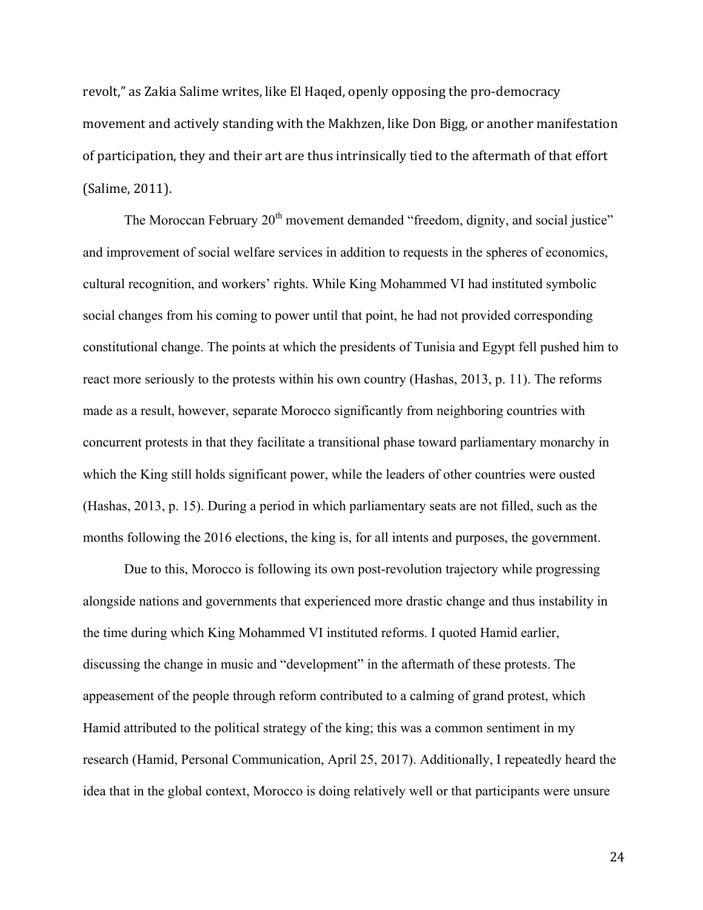revolt," as Zakia Salime writes, like El Haqed, openly opposing the pro-democracy movement and actively standing with the Makhzen, like Don Bigg, or another manifestation of participation, they and their art are thus intrinsically tied to the aftermath of that effort (Salime, 2011).

The Moroccan February 20<sup>th</sup> movement demanded "freedom, dignity, and social justice" and improvement of social welfare services in addition to requests in the spheres of economics, cultural recognition, and workers' rights. While King Mohammed VI had instituted symbolic social changes from his coming to power until that point, he had not provided corresponding constitutional change. The points at which the presidents of Tunisia and Egypt fell pushed him to react more seriously to the protests within his own country (Hashas, 2013, p. 11). The reforms made as a result, however, separate Morocco significantly from neighboring countries with concurrent protests in that they facilitate a transitional phase toward parliamentary monarchy in which the King still holds significant power, while the leaders of other countries were ousted (Hashas, 2013, p. 15). During a period in which parliamentary seats are not filled, such as the months following the 2016 elections, the king is, for all intents and purposes, the government.

Due to this, Morocco is following its own post-revolution trajectory while progressing alongside nations and governments that experienced more drastic change and thus instability in the time during which King Mohammed VI instituted reforms. I quoted Hamid earlier, discussing the change in music and "development" in the aftermath of these protests. The appeasement of the people through reform contributed to a calming of grand protest, which Hamid attributed to the political strategy of the king; this was a common sentiment in my research (Hamid, Personal Communication, April 25, 2017). Additionally, I repeatedly heard the idea that in the global context, Morocco is doing relatively well or that participants were unsure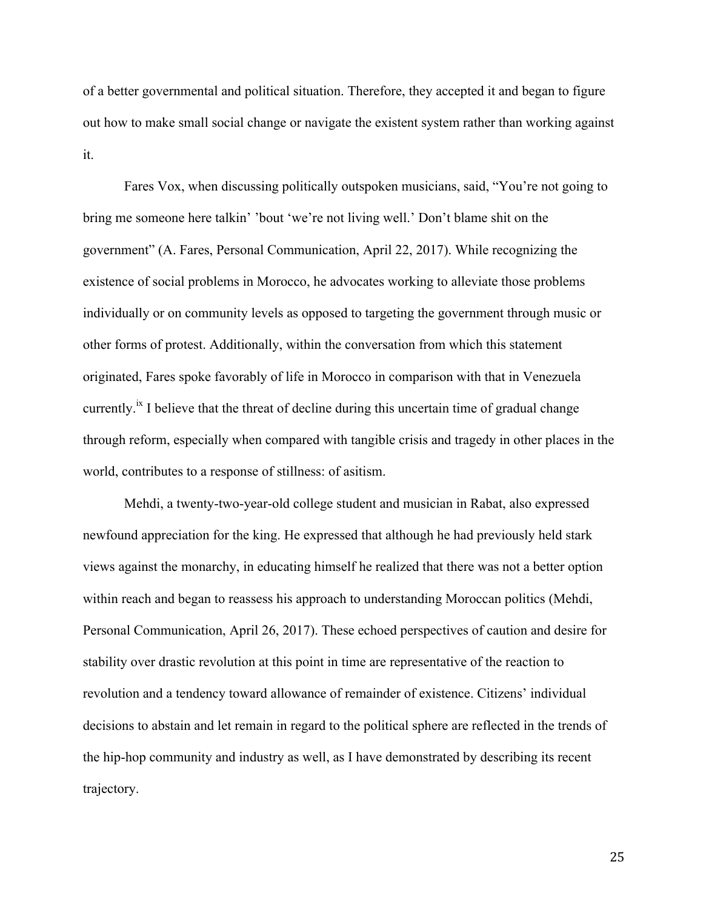of a better governmental and political situation. Therefore, they accepted it and began to figure out how to make small social change or navigate the existent system rather than working against it.

Fares Vox, when discussing politically outspoken musicians, said, "You're not going to bring me someone here talkin' 'bout 'we're not living well.' Don't blame shit on the government" (A. Fares, Personal Communication, April 22, 2017). While recognizing the existence of social problems in Morocco, he advocates working to alleviate those problems individually or on community levels as opposed to targeting the government through music or other forms of protest. Additionally, within the conversation from which this statement originated, Fares spoke favorably of life in Morocco in comparison with that in Venezuela currently.<sup> $x$ </sup> I believe that the threat of decline during this uncertain time of gradual change through reform, especially when compared with tangible crisis and tragedy in other places in the world, contributes to a response of stillness: of asitism.

Mehdi, a twenty-two-year-old college student and musician in Rabat, also expressed newfound appreciation for the king. He expressed that although he had previously held stark views against the monarchy, in educating himself he realized that there was not a better option within reach and began to reassess his approach to understanding Moroccan politics (Mehdi, Personal Communication, April 26, 2017). These echoed perspectives of caution and desire for stability over drastic revolution at this point in time are representative of the reaction to revolution and a tendency toward allowance of remainder of existence. Citizens' individual decisions to abstain and let remain in regard to the political sphere are reflected in the trends of the hip-hop community and industry as well, as I have demonstrated by describing its recent trajectory.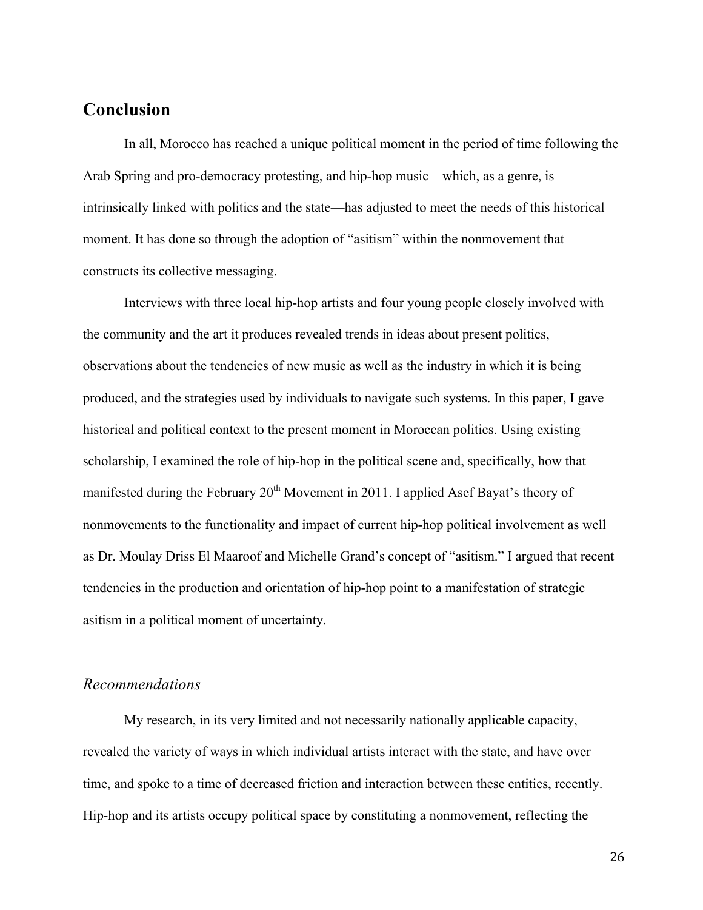## **Conclusion**

In all, Morocco has reached a unique political moment in the period of time following the Arab Spring and pro-democracy protesting, and hip-hop music—which, as a genre, is intrinsically linked with politics and the state—has adjusted to meet the needs of this historical moment. It has done so through the adoption of "asitism" within the nonmovement that constructs its collective messaging.

Interviews with three local hip-hop artists and four young people closely involved with the community and the art it produces revealed trends in ideas about present politics, observations about the tendencies of new music as well as the industry in which it is being produced, and the strategies used by individuals to navigate such systems. In this paper, I gave historical and political context to the present moment in Moroccan politics. Using existing scholarship, I examined the role of hip-hop in the political scene and, specifically, how that manifested during the February 20<sup>th</sup> Movement in 2011. I applied Asef Bayat's theory of nonmovements to the functionality and impact of current hip-hop political involvement as well as Dr. Moulay Driss El Maaroof and Michelle Grand's concept of "asitism." I argued that recent tendencies in the production and orientation of hip-hop point to a manifestation of strategic asitism in a political moment of uncertainty.

#### *Recommendations*

My research, in its very limited and not necessarily nationally applicable capacity, revealed the variety of ways in which individual artists interact with the state, and have over time, and spoke to a time of decreased friction and interaction between these entities, recently. Hip-hop and its artists occupy political space by constituting a nonmovement, reflecting the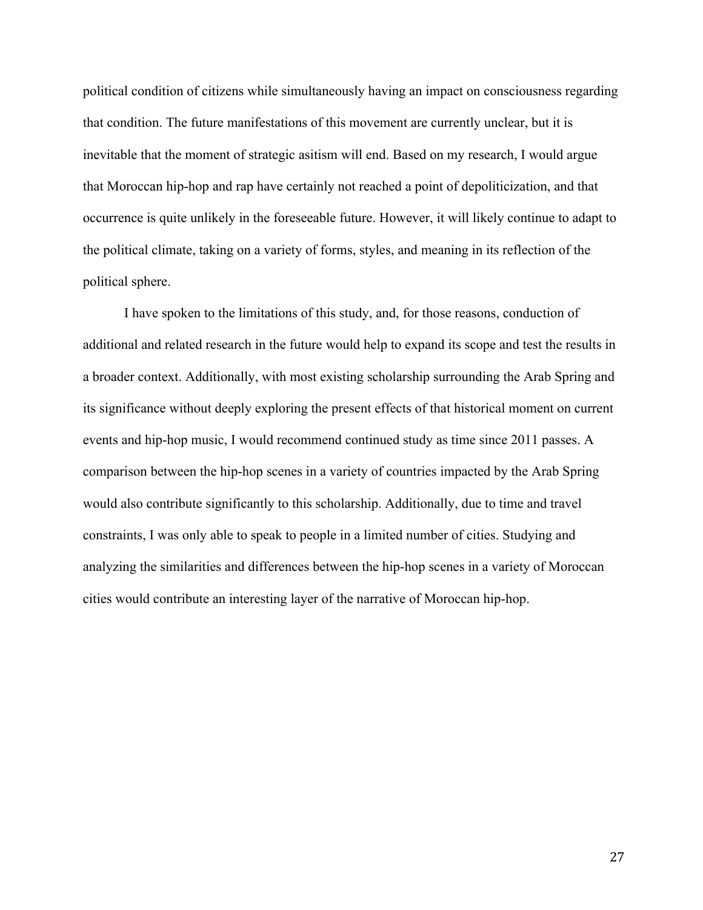political condition of citizens while simultaneously having an impact on consciousness regarding that condition. The future manifestations of this movement are currently unclear, but it is inevitable that the moment of strategic asitism will end. Based on my research, I would argue that Moroccan hip-hop and rap have certainly not reached a point of depoliticization, and that occurrence is quite unlikely in the foreseeable future. However, it will likely continue to adapt to the political climate, taking on a variety of forms, styles, and meaning in its reflection of the political sphere.

I have spoken to the limitations of this study, and, for those reasons, conduction of additional and related research in the future would help to expand its scope and test the results in a broader context. Additionally, with most existing scholarship surrounding the Arab Spring and its significance without deeply exploring the present effects of that historical moment on current events and hip-hop music, I would recommend continued study as time since 2011 passes. A comparison between the hip-hop scenes in a variety of countries impacted by the Arab Spring would also contribute significantly to this scholarship. Additionally, due to time and travel constraints, I was only able to speak to people in a limited number of cities. Studying and analyzing the similarities and differences between the hip-hop scenes in a variety of Moroccan cities would contribute an interesting layer of the narrative of Moroccan hip-hop.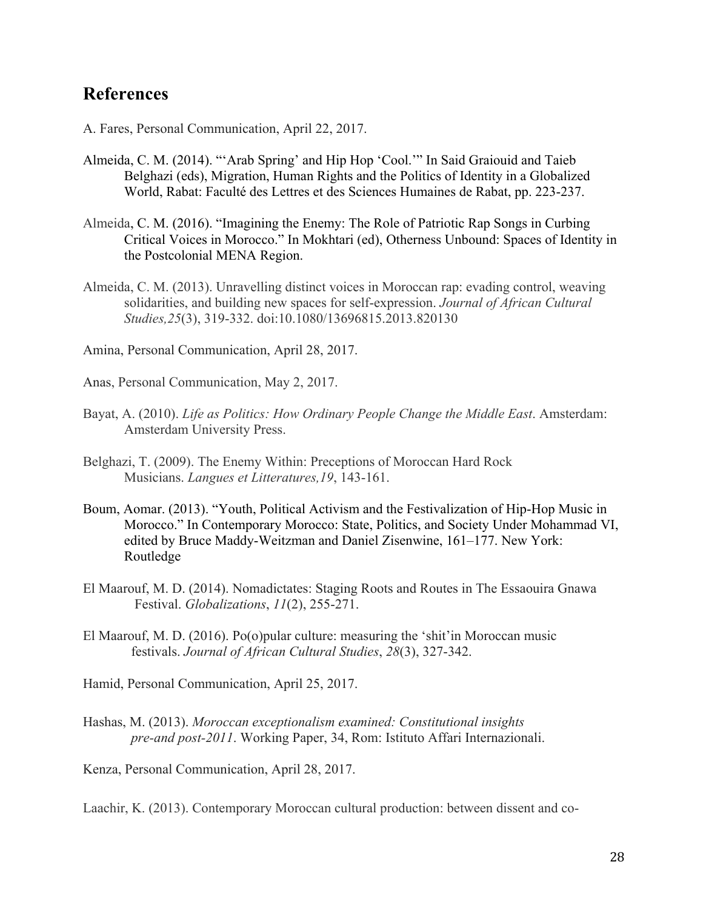## **References**

- A. Fares, Personal Communication, April 22, 2017.
- Almeida, C. M. (2014). "'Arab Spring' and Hip Hop 'Cool.'" In Said Graiouid and Taieb Belghazi (eds), Migration, Human Rights and the Politics of Identity in a Globalized World, Rabat: Faculté des Lettres et des Sciences Humaines de Rabat, pp. 223-237.
- Almeida, C. M. (2016). "Imagining the Enemy: The Role of Patriotic Rap Songs in Curbing Critical Voices in Morocco." In Mokhtari (ed), Otherness Unbound: Spaces of Identity in the Postcolonial MENA Region.
- Almeida, C. M. (2013). Unravelling distinct voices in Moroccan rap: evading control, weaving solidarities, and building new spaces for self-expression. *Journal of African Cultural Studies,25*(3), 319-332. doi:10.1080/13696815.2013.820130

Amina, Personal Communication, April 28, 2017.

Anas, Personal Communication, May 2, 2017.

- Bayat, A. (2010). *Life as Politics: How Ordinary People Change the Middle East*. Amsterdam: Amsterdam University Press.
- Belghazi, T. (2009). The Enemy Within: Preceptions of Moroccan Hard Rock Musicians. *Langues et Litteratures,19*, 143-161.
- Boum, Aomar. (2013). "Youth, Political Activism and the Festivalization of Hip-Hop Music in Morocco." In Contemporary Morocco: State, Politics, and Society Under Mohammad VI, edited by Bruce Maddy-Weitzman and Daniel Zisenwine, 161–177. New York: Routledge
- El Maarouf, M. D. (2014). Nomadictates: Staging Roots and Routes in The Essaouira Gnawa Festival. *Globalizations*, *11*(2), 255-271.
- El Maarouf, M. D. (2016). Po(o)pular culture: measuring the 'shit'in Moroccan music festivals. *Journal of African Cultural Studies*, *28*(3), 327-342.
- Hamid, Personal Communication, April 25, 2017.
- Hashas, M. (2013). *Moroccan exceptionalism examined: Constitutional insights pre-and post-2011*. Working Paper, 34, Rom: Istituto Affari Internazionali.

Kenza, Personal Communication, April 28, 2017.

Laachir, K. (2013). Contemporary Moroccan cultural production: between dissent and co-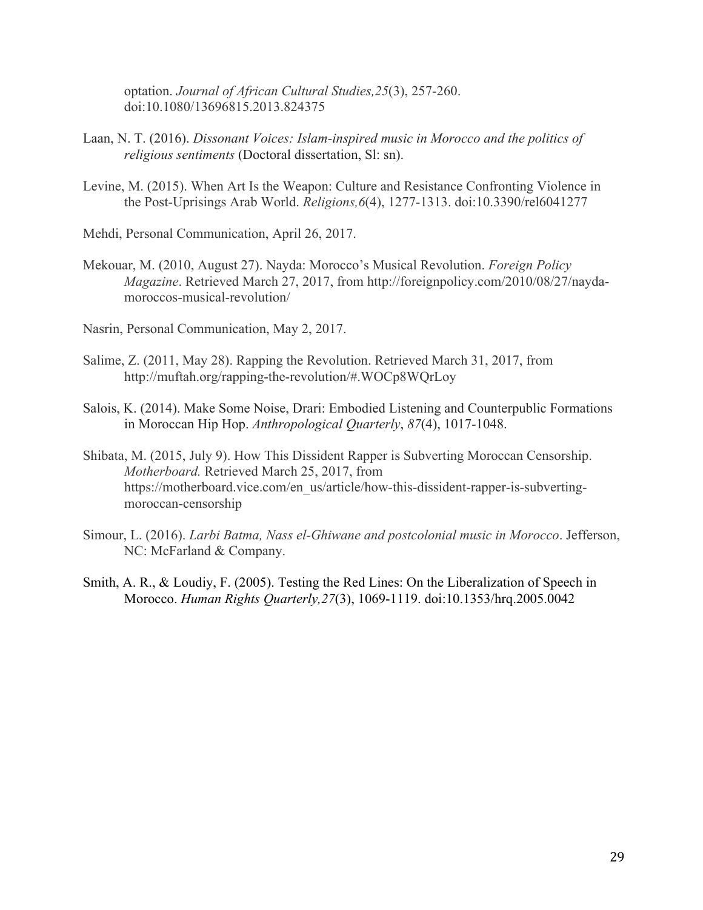optation. *Journal of African Cultural Studies,25*(3), 257-260. doi:10.1080/13696815.2013.824375

- Laan, N. T. (2016). *Dissonant Voices: Islam-inspired music in Morocco and the politics of religious sentiments* (Doctoral dissertation, Sl: sn).
- Levine, M. (2015). When Art Is the Weapon: Culture and Resistance Confronting Violence in the Post-Uprisings Arab World. *Religions,6*(4), 1277-1313. doi:10.3390/rel6041277

Mehdi, Personal Communication, April 26, 2017.

- Mekouar, M. (2010, August 27). Nayda: Morocco's Musical Revolution. *Foreign Policy Magazine*. Retrieved March 27, 2017, from http://foreignpolicy.com/2010/08/27/naydamoroccos-musical-revolution/
- Nasrin, Personal Communication, May 2, 2017.
- Salime, Z. (2011, May 28). Rapping the Revolution. Retrieved March 31, 2017, from http://muftah.org/rapping-the-revolution/#.WOCp8WQrLoy
- Salois, K. (2014). Make Some Noise, Drari: Embodied Listening and Counterpublic Formations in Moroccan Hip Hop. *Anthropological Quarterly*, *87*(4), 1017-1048.
- Shibata, M. (2015, July 9). How This Dissident Rapper is Subverting Moroccan Censorship. *Motherboard.* Retrieved March 25, 2017, from https://motherboard.vice.com/en\_us/article/how-this-dissident-rapper-is-subvertingmoroccan-censorship
- Simour, L. (2016). *Larbi Batma, Nass el-Ghiwane and postcolonial music in Morocco*. Jefferson, NC: McFarland & Company.
- Smith, A. R., & Loudiy, F. (2005). Testing the Red Lines: On the Liberalization of Speech in Morocco. *Human Rights Quarterly,27*(3), 1069-1119. doi:10.1353/hrq.2005.0042